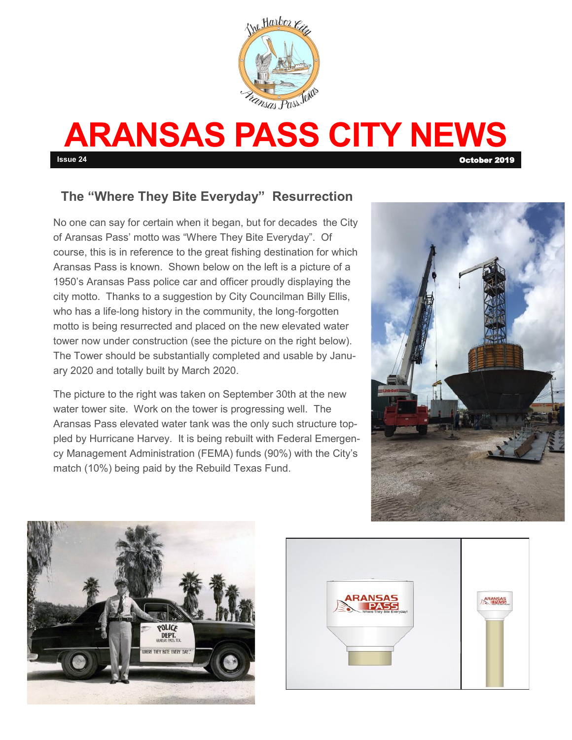

# **ARANSAS PASS CITY NEWS Issue 24** October 2019

### **The "Where They Bite Everyday" Resurrection**

No one can say for certain when it began, but for decades the City of Aransas Pass' motto was "Where They Bite Everyday". Of course, this is in reference to the great fishing destination for which Aransas Pass is known. Shown below on the left is a picture of a 1950's Aransas Pass police car and officer proudly displaying the city motto. Thanks to a suggestion by City Councilman Billy Ellis, who has a life-long history in the community, the long-forgotten motto is being resurrected and placed on the new elevated water tower now under construction (see the picture on the right below). The Tower should be substantially completed and usable by January 2020 and totally built by March 2020.

The picture to the right was taken on September 30th at the new water tower site. Work on the tower is progressing well. The Aransas Pass elevated water tank was the only such structure toppled by Hurricane Harvey. It is being rebuilt with Federal Emergency Management Administration (FEMA) funds (90%) with the City's match (10%) being paid by the Rebuild Texas Fund.





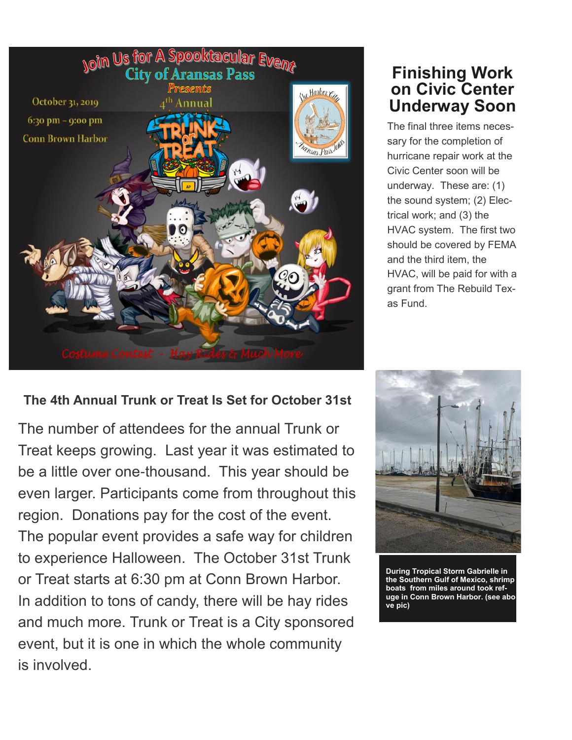

### **The 4th Annual Trunk or Treat Is Set for October 31st**

The number of attendees for the annual Trunk or Treat keeps growing. Last year it was estimated to be a little over one-thousand. This year should be even larger. Participants come from throughout this region. Donations pay for the cost of the event. The popular event provides a safe way for children to experience Halloween. The October 31st Trunk or Treat starts at 6:30 pm at Conn Brown Harbor. In addition to tons of candy, there will be hay rides and much more. Trunk or Treat is a City sponsored event, but it is one in which the whole community is involved.

# **Finishing Work on Civic Center Underway Soon**

The final three items necessary for the completion of hurricane repair work at the Civic Center soon will be underway. These are: (1) the sound system; (2) Electrical work; and (3) the HVAC system. The first two should be covered by FEMA and the third item, the HVAC, will be paid for with a grant from The Rebuild Texas Fund.



**During Tropical Storm Gabrielle in the Southern Gulf of Mexico, shrimp boats from miles around took refuge in Conn Brown Harbor. (see abo ve pic)**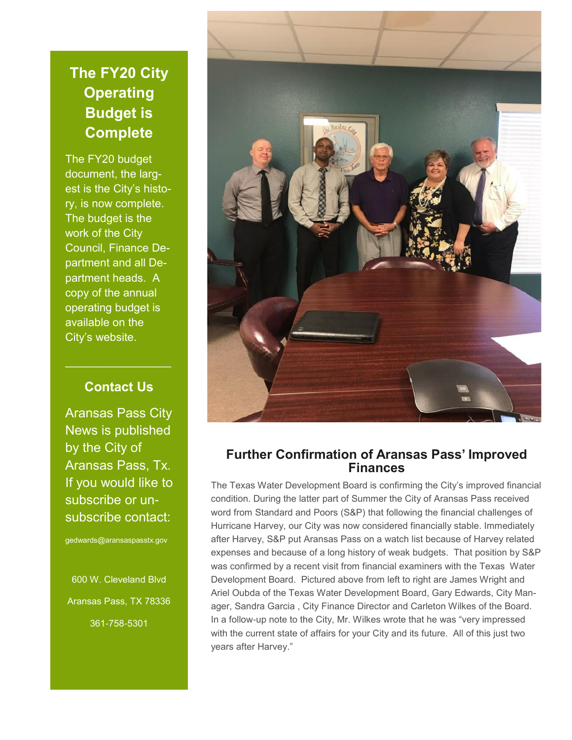## **The FY20 City Operating Budget is Complete**

The FY20 budget document, the largest is the City's history, is now complete. The budget is the work of the City Council, Finance Department and all Department heads. A copy of the annual operating budget is available on the City's website.

### **Contact Us**

 $\mathcal{L}_\text{max}$  , where  $\mathcal{L}_\text{max}$  is the set of  $\mathcal{L}_\text{max}$ 

Aransas Pass City News is published by the City of Aransas Pass, Tx. If you would like to subscribe or unsubscribe contact:

gedwards@aransaspasstx.gov

600 W. Cleveland Blvd Aransas Pass, TX 78336 361-758-5301



#### **Further Confirmation of Aransas Pass' Improved Finances**

The Texas Water Development Board is confirming the City's improved financial condition. During the latter part of Summer the City of Aransas Pass received word from Standard and Poors (S&P) that following the financial challenges of Hurricane Harvey, our City was now considered financially stable. Immediately after Harvey, S&P put Aransas Pass on a watch list because of Harvey related expenses and because of a long history of weak budgets. That position by S&P was confirmed by a recent visit from financial examiners with the Texas Water Development Board. Pictured above from left to right are James Wright and Ariel Oubda of the Texas Water Development Board, Gary Edwards, City Manager, Sandra Garcia , City Finance Director and Carleton Wilkes of the Board. In a follow-up note to the City, Mr. Wilkes wrote that he was "very impressed with the current state of affairs for your City and its future. All of this just two years after Harvey."